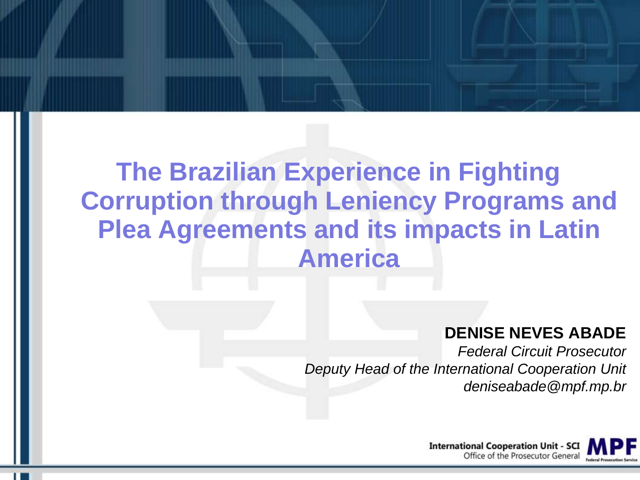#### **DENISE NEVES ABADE**

*Federal Circuit Prosecutor Deputy Head of the International Cooperation Unit deniseabade@mpf.mp.br*

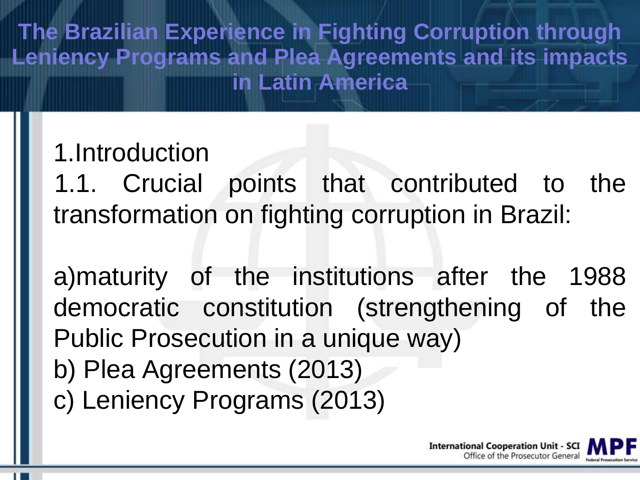#### 1.Introduction

1.1. Crucial points that contributed to the transformation on fighting corruption in Brazil:

a)maturity of the institutions after the 1988 democratic constitution (strengthening of the Public Prosecution in a unique way) b) Plea Agreements (2013) c) Leniency Programs (2013)

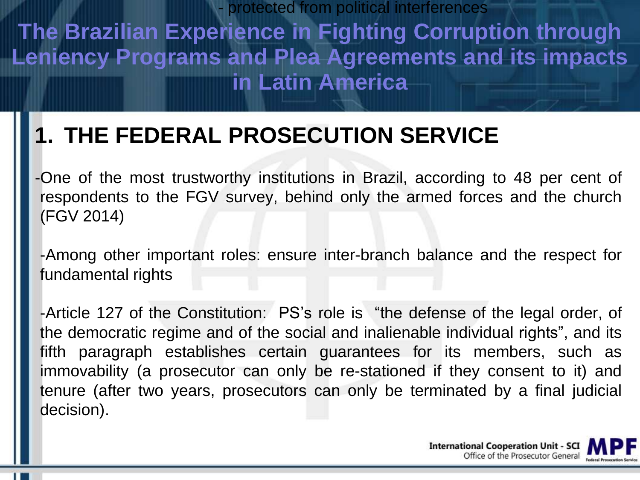**The Brazilian Experience in Fighting Corruption through Leniency Programs and Plea Agreements and its impacts in Latin America** - protected from political interferences

#### **1. THE FEDERAL PROSECUTION SERVICE**

-One of the most trustworthy institutions in Brazil, according to 48 per cent of respondents to the FGV survey, behind only the armed forces and the church (FGV 2014)

-Among other important roles: ensure inter-branch balance and the respect for fundamental rights

-Article 127 of the Constitution: PS's role is "the defense of the legal order, of the democratic regime and of the social and inalienable individual rights", and its fifth paragraph establishes certain guarantees for its members, such as immovability (a prosecutor can only be re-stationed if they consent to it) and tenure (after two years, prosecutors can only be terminated by a final judicial decision).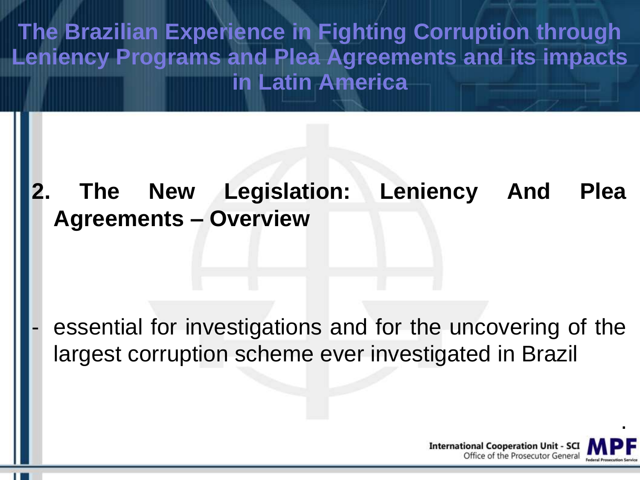#### **2. The New Legislation: Leniency And Plea Agreements – Overview**

essential for investigations and for the uncovering of the largest corruption scheme ever investigated in Brazil



**.**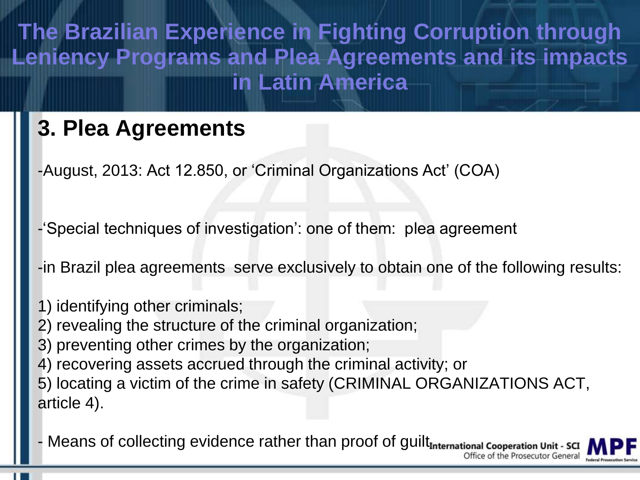#### **3. Plea Agreements**

-August, 2013: Act 12.850, or 'Criminal Organizations Act' (COA)

-'Special techniques of investigation': one of them: plea agreement

-in Brazil plea agreements serve exclusively to obtain one of the following results:

- 1) identifying other criminals;
- 2) revealing the structure of the criminal organization;
- 3) preventing other crimes by the organization;
- 4) recovering assets accrued through the criminal activity; or
- 5) locating a victim of the crime in safety (CRIMINAL ORGANIZATIONS ACT, article 4).
- Means of collecting evidence rather than proof of guilt<sub>International Cooperation Unit SCI</sub> Office of the Prosecutor General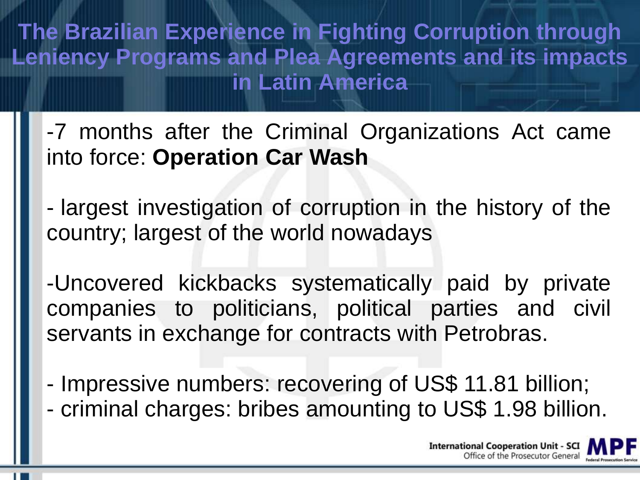-7 months after the Criminal Organizations Act came into force: **Operation Car Wash**

- largest investigation of corruption in the history of the country; largest of the world nowadays

-Uncovered kickbacks systematically paid by private companies to politicians, political parties and civil servants in exchange for contracts with Petrobras.

- Impressive numbers: recovering of US\$ 11.81 billion;

- criminal charges: bribes amounting to US\$ 1.98 billion.

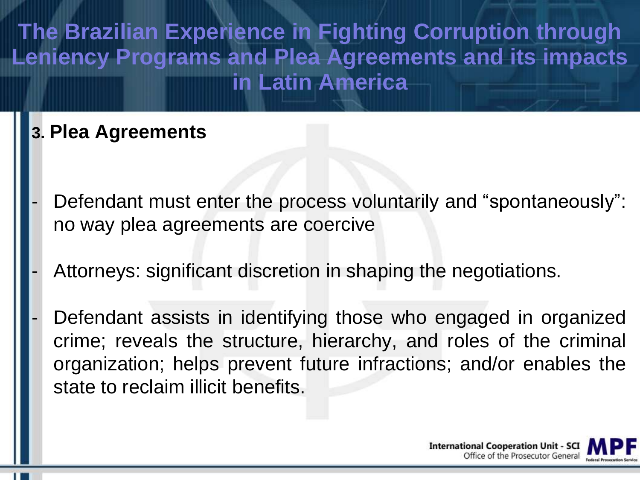#### **3. Plea Agreements**

- Defendant must enter the process voluntarily and "spontaneously": no way plea agreements are coercive
- Attorneys: significant discretion in shaping the negotiations.
- Defendant assists in identifying those who engaged in organized crime; reveals the structure, hierarchy, and roles of the criminal organization; helps prevent future infractions; and/or enables the state to reclaim illicit benefits.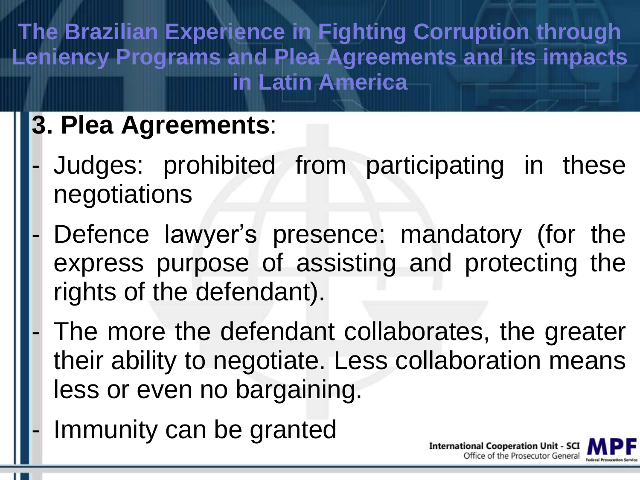# **3. Plea Agreements**:

- Judges: prohibited from participating in these negotiations
- Defence lawyer's presence: mandatory (for the express purpose of assisting and protecting the rights of the defendant).
- The more the defendant collaborates, the greater their ability to negotiate. Less collaboration means less or even no bargaining.

**International Cooperation Unit - SCI** 

Office of the Prosecutor General

**Enderal Properties** 

Immunity can be granted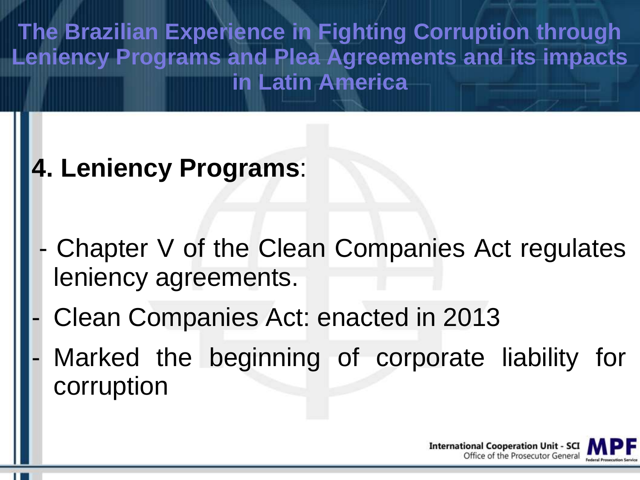# **4. Leniency Programs**:

- Chapter V of the Clean Companies Act regulates leniency agreements.
- Clean Companies Act: enacted in 2013
- Marked the beginning of corporate liability for corruption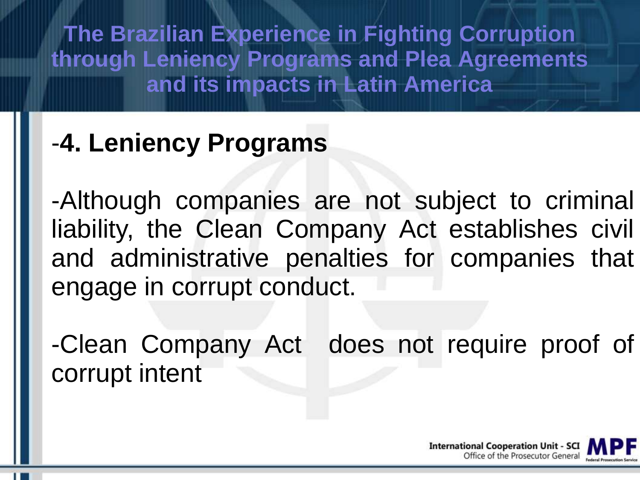## -**4. Leniency Programs**

-Although companies are not subject to criminal liability, the Clean Company Act establishes civil and administrative penalties for companies that engage in corrupt conduct.

-Clean Company Act does not require proof of corrupt intent

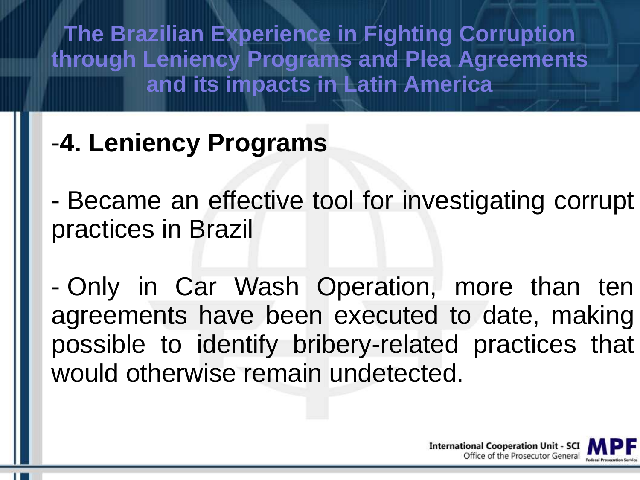## -**4. Leniency Programs**

- Became an effective tool for investigating corrupt practices in Brazil

- Only in Car Wash Operation, more than ten agreements have been executed to date, making possible to identify bribery-related practices that would otherwise remain undetected.

> **International Cooperation Unit - SCI** Office of the Prosecutor General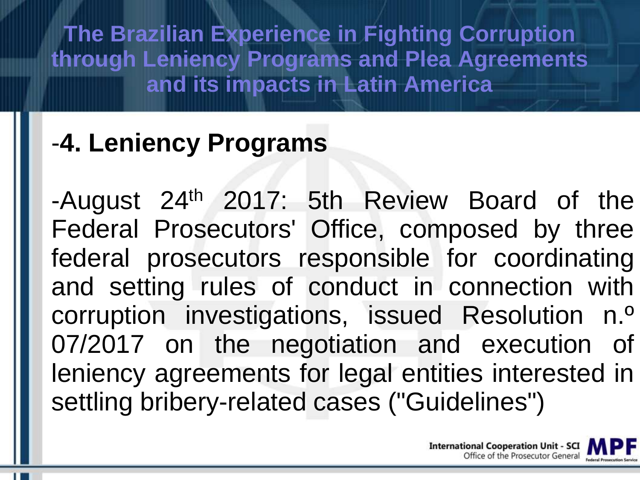### -**4. Leniency Programs**

-August 24th 2017: 5th Review Board of the Federal Prosecutors' Office, composed by three federal prosecutors responsible for coordinating and setting rules of conduct in connection with corruption investigations, issued Resolution n.º 07/2017 on the negotiation and execution of leniency agreements for legal entities interested in settling bribery-related cases ("Guidelines")

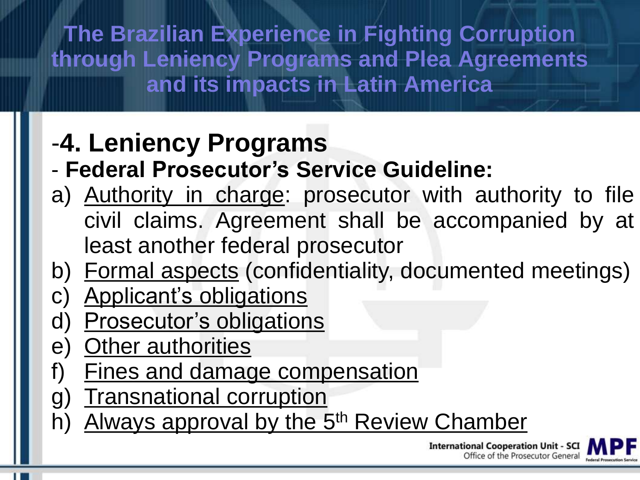# -**4. Leniency Programs**

#### - **Federal Prosecutor's Service Guideline:**

- a) Authority in charge: prosecutor with authority to file civil claims. Agreement shall be accompanied by at least another federal prosecutor
- b) Formal aspects (confidentiality, documented meetings)
- c) Applicant's obligations
- d) Prosecutor's obligations
- e) Other authorities
- f) Fines and damage compensation
- g) Transnational corruption
- h) Always approval by the 5<sup>th</sup> Review Chamber

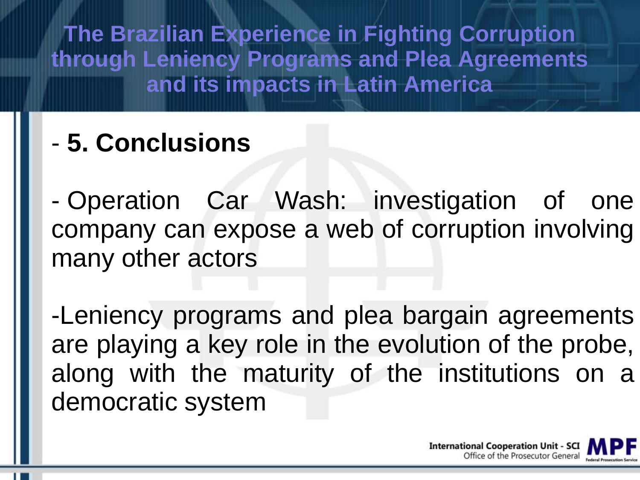## - **5. Conclusions**

- Operation Car Wash: investigation of one company can expose a web of corruption involving many other actors

-Leniency programs and plea bargain agreements are playing a key role in the evolution of the probe, along with the maturity of the institutions on a democratic system

> **International Cooperation Unit - SCI** Office of the Prosecutor General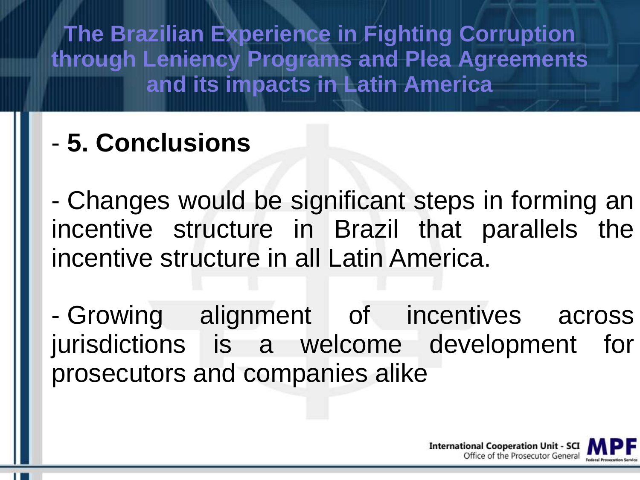## - **5. Conclusions**

- Changes would be significant steps in forming an incentive structure in Brazil that parallels the incentive structure in all Latin America.

- Growing alignment of incentives across jurisdictions is a welcome development for prosecutors and companies alike

> **International Cooperation Unit - SCI** Office of the Prosecutor General